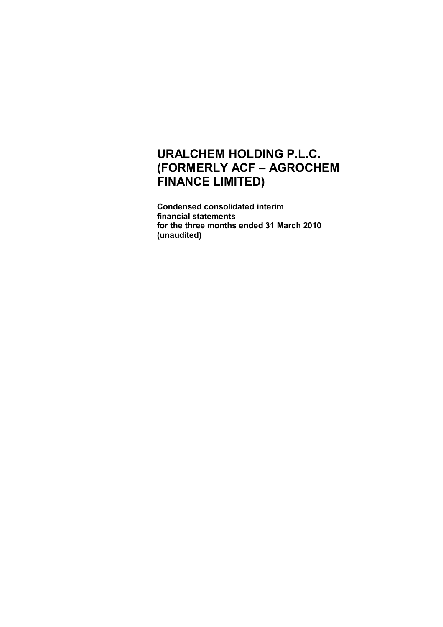**Condensed consolidated interim financial statements for the three months ended 31 March 2010 (unaudited)**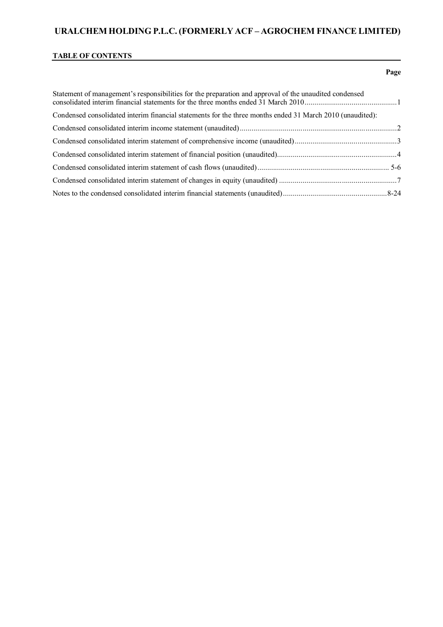### **TABLE OF CONTENTS**

# Statement of management's responsibilities for the preparation and approval of the unaudited condensed consolidated interim financial statements for the three months ended 31 March 2010...............................................1 Condensed consolidated interim financial statements for the three months ended 31 March 2010 (unaudited): Condensed consolidated interim income statement (unaudited)................................................................................2 Condensed consolidated interim statement of comprehensive income (unaudited)....................................................3 Condensed consolidated interim statement of financial position (unaudited).............................................................4 Condensed consolidated interim statement of cash flows (unaudited)................................................................... 5-6 Condensed consolidated interim statement of changes in equity (unaudited) ............................................................7 Notes to the condensed consolidated interim financial statements (unaudited).....................................................8-24

#### **Page**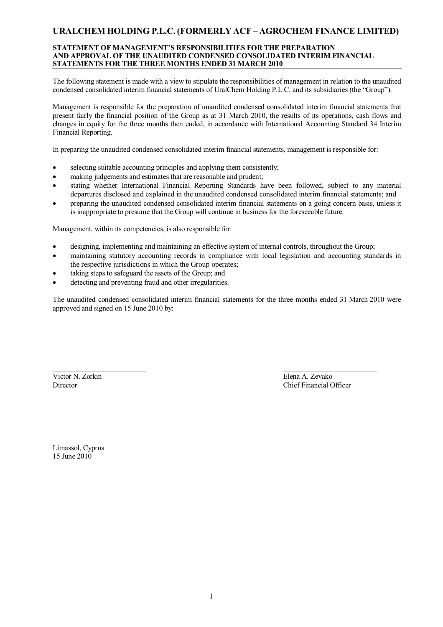### **STATEMENT OF MANAGEMENT'S RESPONSIBILITIES FOR THE PREPARATION AND APPROVAL OF THE UNAUDITED CONDENSED CONSOLIDATED INTERIM FINANCIAL STATEMENTS FOR THE THREE MONTHS ENDED 31 MARCH 2010**

The following statement is made with a view to stipulate the responsibilities of management in relation to the unaudited condensed consolidated interim financial statements of UralChem Holding P.L.C. and its subsidiaries (the "Group").

Management is responsible for the preparation of unaudited condensed consolidated interim financial statements that present fairly the financial position of the Group as at 31 March 2010, the results of its operations, cash flows and changes in equity for the three months then ended, in accordance with International Accounting Standard 34 Interim Financial Reporting.

In preparing the unaudited condensed consolidated interim financial statements, management is responsible for:

- selecting suitable accounting principles and applying them consistently;
- making judgements and estimates that are reasonable and prudent;
- stating whether International Financial Reporting Standards have been followed, subject to any material departures disclosed and explained in the unaudited condensed consolidated interim financial statements; and
- preparing the unaudited condensed consolidated interim financial statements on a going concern basis, unless it is inappropriate to presume that the Group will continue in business for the foreseeable future.

Management, within its competencies, is also responsible for:

- designing, implementing and maintaining an effective system of internal controls, throughout the Group;
- maintaining statutory accounting records in compliance with local legislation and accounting standards in the respective jurisdictions in which the Group operates;
- taking steps to safeguard the assets of the Group; and
- detecting and preventing fraud and other irregularities.

The unaudited condensed consolidated interim financial statements for the three months ended 31 March 2010 were approved and signed on 15 June 2010 by:

Victor N. Zorkin Elena A. Zevako

\_\_\_\_\_\_\_\_\_\_\_\_\_\_\_\_\_\_\_\_\_\_\_\_\_ \_\_\_\_\_\_\_\_\_\_\_\_\_\_\_\_\_\_\_\_\_\_\_\_\_ Director Chief Financial Officer

Limassol, Cyprus 15 June 2010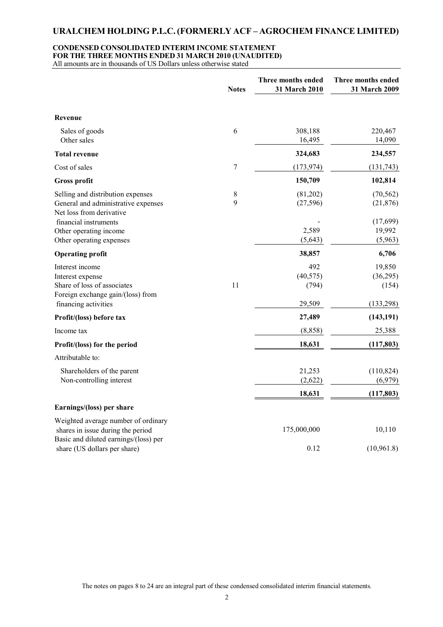### **CONDENSED CONSOLIDATED INTERIM INCOME STATEMENT FOR THE THREE MONTHS ENDED 31 MARCH 2010 (UNAUDITED)**

|                                                                                                         | <b>Notes</b> | Three months ended<br>31 March 2010 | Three months ended<br>31 March 2009 |
|---------------------------------------------------------------------------------------------------------|--------------|-------------------------------------|-------------------------------------|
| Revenue                                                                                                 |              |                                     |                                     |
| Sales of goods<br>Other sales                                                                           | $\sqrt{6}$   | 308,188<br>16,495                   | 220,467<br>14,090                   |
| <b>Total revenue</b>                                                                                    |              | 324,683                             | 234,557                             |
| Cost of sales                                                                                           | 7            | (173, 974)                          | (131, 743)                          |
| <b>Gross profit</b>                                                                                     |              | 150,709                             | 102,814                             |
| Selling and distribution expenses<br>General and administrative expenses<br>Net loss from derivative    | $8\,$<br>9   | (81,202)<br>(27, 596)               | (70, 562)<br>(21, 876)              |
| financial instruments<br>Other operating income                                                         |              | 2,589                               | (17,699)<br>19,992                  |
| Other operating expenses                                                                                |              | (5,643)                             | (5,963)                             |
| <b>Operating profit</b>                                                                                 |              | 38,857                              | 6,706                               |
| Interest income<br>Interest expense<br>Share of loss of associates<br>Foreign exchange gain/(loss) from | 11           | 492<br>(40, 575)<br>(794)           | 19,850<br>(36,295)<br>(154)         |
| financing activities                                                                                    |              | 29,509                              | (133, 298)                          |
| Profit/(loss) before tax                                                                                |              | 27,489                              | (143, 191)                          |
| Income tax                                                                                              |              | (8, 858)                            | 25,388                              |
| Profit/(loss) for the period                                                                            |              | 18,631                              | (117, 803)                          |
| Attributable to:                                                                                        |              |                                     |                                     |
| Shareholders of the parent<br>Non-controlling interest                                                  |              | 21,253<br>(2,622)                   | (110, 824)<br>(6,979)               |
|                                                                                                         |              | 18,631                              | (117, 803)                          |
| Earnings/(loss) per share                                                                               |              |                                     |                                     |
| Weighted average number of ordinary<br>shares in issue during the period                                |              | 175,000,000                         | 10,110                              |
| Basic and diluted earnings/(loss) per<br>share (US dollars per share)                                   |              | 0.12                                | (10, 961.8)                         |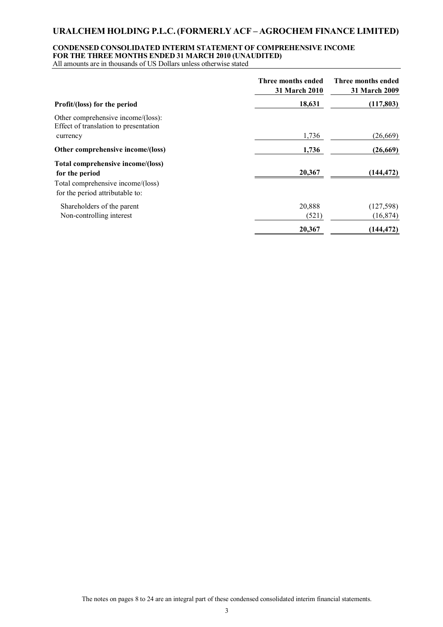### **CONDENSED CONSOLIDATED INTERIM STATEMENT OF COMPREHENSIVE INCOME FOR THE THREE MONTHS ENDED 31 MARCH 2010 (UNAUDITED)**

|                                                                             | Three months ended<br>31 March 2010 | Three months ended<br>31 March 2009 |
|-----------------------------------------------------------------------------|-------------------------------------|-------------------------------------|
| Profit/(loss) for the period                                                | 18,631                              | (117,803)                           |
| Other comprehensive income/(loss):<br>Effect of translation to presentation |                                     |                                     |
| currency                                                                    | 1,736                               | (26,669)                            |
| Other comprehensive income/(loss)                                           | 1,736                               | (26, 669)                           |
| Total comprehensive income/(loss)<br>for the period                         | 20,367                              | (144, 472)                          |
| Total comprehensive income/(loss)<br>for the period attributable to:        |                                     |                                     |
| Shareholders of the parent                                                  | 20,888                              | (127, 598)                          |
| Non-controlling interest                                                    | (521)                               | (16, 874)                           |
|                                                                             | 20,367                              | (144, 472)                          |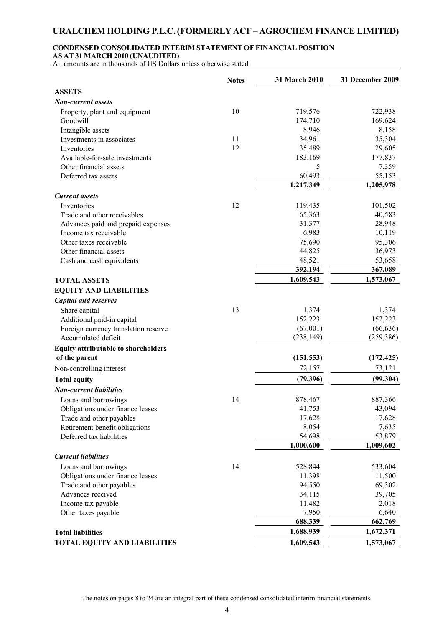# **CONDENSED CONSOLIDATED INTERIM STATEMENT OF FINANCIAL POSITION**

**AS AT 31 MARCH 2010 (UNAUDITED)**

|                                            | <b>Notes</b> | 31 March 2010 | 31 December 2009 |
|--------------------------------------------|--------------|---------------|------------------|
| <b>ASSETS</b>                              |              |               |                  |
| Non-current assets                         |              |               |                  |
| Property, plant and equipment              | 10           | 719,576       | 722,938          |
| Goodwill                                   |              | 174,710       | 169,624          |
| Intangible assets                          |              | 8,946         | 8,158            |
| Investments in associates                  | 11           | 34,961        | 35,304           |
| Inventories                                | 12           | 35,489        | 29,605           |
| Available-for-sale investments             |              | 183,169       | 177,837          |
| Other financial assets                     |              | 5             | 7,359            |
| Deferred tax assets                        |              | 60,493        | 55,153           |
|                                            |              | 1,217,349     | 1,205,978        |
| <b>Current</b> assets                      |              |               |                  |
| Inventories                                | 12           | 119,435       | 101,502          |
| Trade and other receivables                |              | 65,363        | 40,583           |
| Advances paid and prepaid expenses         |              | 31,377        | 28,948           |
| Income tax receivable                      |              | 6,983         | 10,119           |
| Other taxes receivable                     |              | 75,690        | 95,306           |
| Other financial assets                     |              | 44,825        | 36,973           |
| Cash and cash equivalents                  |              | 48,521        | 53,658           |
|                                            |              | 392,194       | 367,089          |
| <b>TOTAL ASSETS</b>                        |              | 1,609,543     | 1,573,067        |
| <b>EQUITY AND LIABILITIES</b>              |              |               |                  |
| <b>Capital and reserves</b>                |              |               |                  |
| Share capital                              | 13           | 1,374         | 1,374            |
| Additional paid-in capital                 |              | 152,223       | 152,223          |
| Foreign currency translation reserve       |              | (67,001)      | (66, 636)        |
| Accumulated deficit                        |              | (238, 149)    | (259, 386)       |
| <b>Equity attributable to shareholders</b> |              |               |                  |
| of the parent                              |              | (151, 553)    | (172, 425)       |
| Non-controlling interest                   |              | 72,157        | 73,121           |
| <b>Total equity</b>                        |              | (79, 396)     | (99, 304)        |
| <b>Non-current liabilities</b>             |              |               |                  |
| Loans and borrowings                       | 14           | 878,467       | 887,366          |
| Obligations under finance leases           |              | 41,753        | 43,094           |
| Trade and other payables                   |              | 17,628        | 17,628           |
| Retirement benefit obligations             |              | 8,054         | 7,635            |
| Deferred tax liabilities                   |              | 54,698        | 53,879           |
|                                            |              | 1,000,600     | 1,009,602        |
| <b>Current liabilities</b>                 |              |               |                  |
| Loans and borrowings                       | 14           | 528,844       | 533,604          |
| Obligations under finance leases           |              | 11,398        | 11,500           |
| Trade and other payables                   |              | 94,550        | 69,302           |
| Advances received                          |              | 34,115        | 39,705           |
| Income tax payable                         |              | 11,482        | 2,018            |
| Other taxes payable                        |              | 7,950         | 6,640            |
|                                            |              | 688,339       | 662,769          |
| <b>Total liabilities</b>                   |              | 1,688,939     | 1,672,371        |
| <b>TOTAL EQUITY AND LIABILITIES</b>        |              | 1,609,543     | 1,573,067        |
|                                            |              |               |                  |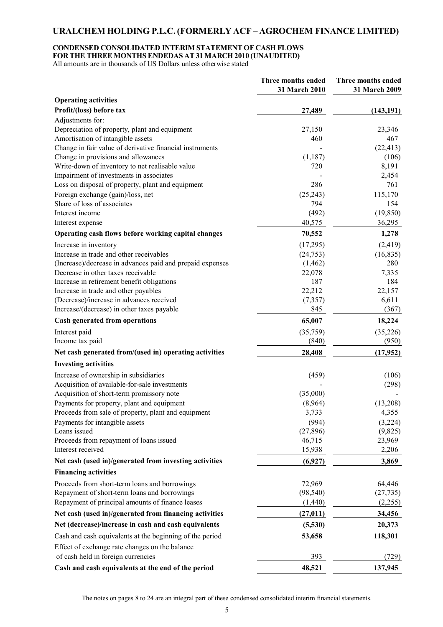### **CONDENSED CONSOLIDATED INTERIM STATEMENT OF CASH FLOWS FOR THE THREE MONTHSENDEDAS AT 31 MARCH 2010 (UNAUDITED)**

All amounts are in thousands of US Dollars unless otherwise stated

|                                                           | Three months ended<br>31 March 2010 | Three months ended<br>31 March 2009 |
|-----------------------------------------------------------|-------------------------------------|-------------------------------------|
| <b>Operating activities</b>                               |                                     |                                     |
| Profit/(loss) before tax                                  | 27,489                              | (143, 191)                          |
| Adjustments for:                                          |                                     |                                     |
| Depreciation of property, plant and equipment             | 27,150                              | 23,346                              |
| Amortisation of intangible assets                         | 460                                 | 467                                 |
| Change in fair value of derivative financial instruments  |                                     | (22, 413)                           |
| Change in provisions and allowances                       | (1, 187)                            | (106)                               |
| Write-down of inventory to net realisable value           | 720                                 | 8,191                               |
| Impairment of investments in associates                   |                                     | 2,454                               |
| Loss on disposal of property, plant and equipment         | 286                                 | 761                                 |
| Foreign exchange (gain)/loss, net                         | (25, 243)                           | 115,170                             |
| Share of loss of associates                               | 794                                 | 154                                 |
| Interest income                                           | (492)                               | (19, 850)                           |
| Interest expense                                          | 40,575                              | 36,295                              |
| Operating cash flows before working capital changes       | 70,552                              | 1,278                               |
| Increase in inventory                                     | (17,295)                            | (2, 419)                            |
| Increase in trade and other receivables                   | (24, 753)                           | (16, 835)                           |
| (Increase)/decrease in advances paid and prepaid expenses | (1, 462)                            | 280                                 |
| Decrease in other taxes receivable                        | 22,078                              | 7,335                               |
| Increase in retirement benefit obligations                | 187                                 | 184                                 |
| Increase in trade and other payables                      | 22,212                              | 22,157                              |
| (Decrease)/increase in advances received                  | (7, 357)                            | 6,611                               |
| Increase/(decrease) in other taxes payable                | 845                                 | (367)                               |
| <b>Cash generated from operations</b>                     | 65,007                              | 18,224                              |
| Interest paid                                             | (35,759)                            | (35, 226)                           |
| Income tax paid                                           | (840)                               | (950)                               |
| Net cash generated from/(used in) operating activities    | 28,408                              | (17, 952)                           |
| <b>Investing activities</b>                               |                                     |                                     |
| Increase of ownership in subsidiaries                     | (459)                               | (106)                               |
| Acquisition of available-for-sale investments             |                                     | (298)                               |
| Acquisition of short-term promissory note                 | (35,000)                            |                                     |
| Payments for property, plant and equipment                | (8,964)                             | (13,208)                            |
| Proceeds from sale of property, plant and equipment       | 3,733                               | 4,355                               |
| Payments for intangible assets                            | (994)                               | (3,224)                             |
| Loans issued                                              | (27, 896)                           | (9,825)                             |
| Proceeds from repayment of loans issued                   | 46,715                              | 23,969                              |
| Interest received                                         | 15,938                              | 2,206                               |
| Net cash (used in)/generated from investing activities    | (6,927)                             | 3,869                               |
| <b>Financing activities</b>                               |                                     |                                     |
| Proceeds from short-term loans and borrowings             | 72,969                              | 64,446                              |
| Repayment of short-term loans and borrowings              | (98, 540)                           | (27, 735)                           |
| Repayment of principal amounts of finance leases          | (1,440)                             | (2,255)                             |
| Net cash (used in)/generated from financing activities    | (27, 011)                           | 34,456                              |
| Net (decrease)/increase in cash and cash equivalents      | (5,530)                             | 20,373                              |
| Cash and cash equivalents at the beginning of the period  | 53,658                              | 118,301                             |
| Effect of exchange rate changes on the balance            |                                     |                                     |
| of cash held in foreign currencies                        | 393                                 | (729)                               |
| Cash and cash equivalents at the end of the period        | 48,521                              | 137,945                             |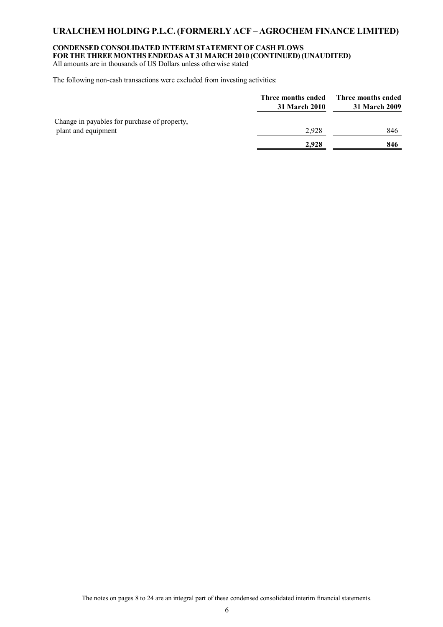#### **CONDENSED CONSOLIDATED INTERIM STATEMENT OF CASH FLOWS FOR THE THREE MONTHSENDEDAS AT 31 MARCH 2010 (CONTINUED) (UNAUDITED)** All amounts are in thousands of US Dollars unless otherwise stated

The following non-cash transactions were excluded from investing activities:

|                                              | Three months ended<br>31 March 2010 | Three months ended<br><b>31 March 2009</b> |
|----------------------------------------------|-------------------------------------|--------------------------------------------|
| Change in payables for purchase of property, |                                     |                                            |
| plant and equipment                          | 2.928                               | 846                                        |
|                                              | 2,928                               | 846                                        |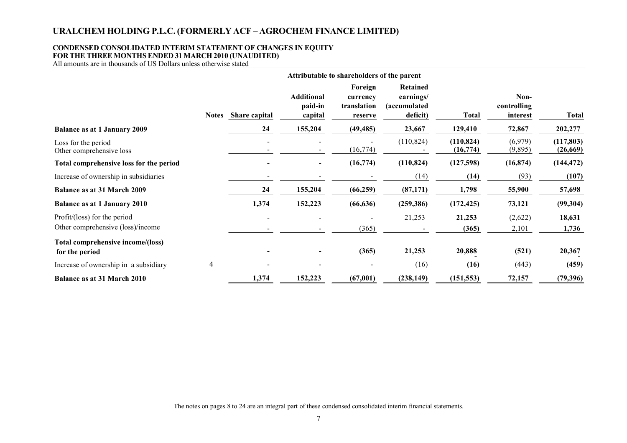### **CONDENSED CONSOLIDATED INTERIM STATEMENT OF CHANGES IN EQUITY FOR THE THREE MONTHSENDED 31 MARCH 2010 (UNAUDITED)**

|                                                                   |              | Attributable to shareholders of the parent |                                         |                                               |                                                           |                         |                                 |                        |
|-------------------------------------------------------------------|--------------|--------------------------------------------|-----------------------------------------|-----------------------------------------------|-----------------------------------------------------------|-------------------------|---------------------------------|------------------------|
|                                                                   | <b>Notes</b> | Share capital                              | <b>Additional</b><br>paid-in<br>capital | Foreign<br>currency<br>translation<br>reserve | Retained<br>earnings/<br><i>(accumulated)</i><br>deficit) | <b>Total</b>            | Non-<br>controlling<br>interest | Total                  |
| <b>Balance as at 1 January 2009</b>                               |              | 24                                         | 155,204                                 | (49, 485)                                     | 23,667                                                    | 129,410                 | 72,867                          | 202,277                |
| Loss for the period<br>Other comprehensive loss                   |              | $\blacksquare$                             | $\overline{\phantom{a}}$                | (16, 774)                                     | (110, 824)                                                | (110, 824)<br>(16, 774) | (6,979)<br>(9,895)              | (117, 803)<br>(26,669) |
| Total comprehensive loss for the period                           |              |                                            |                                         | (16,774)                                      | (110, 824)                                                | (127,598)               | (16, 874)                       | (144, 472)             |
| Increase of ownership in subsidiaries                             |              |                                            |                                         |                                               | (14)                                                      | (14)                    | (93)                            | (107)                  |
| <b>Balance as at 31 March 2009</b>                                |              | 24                                         | 155,204                                 | (66, 259)                                     | (87, 171)                                                 | 1,798                   | 55,900                          | 57,698                 |
| <b>Balance as at 1 January 2010</b>                               |              | 1,374                                      | 152,223                                 | (66, 636)                                     | (259, 386)                                                | (172, 425)              | 73,121                          | (99, 304)              |
| Profit/(loss) for the period<br>Other comprehensive (loss)/income |              |                                            |                                         | (365)                                         | 21,253                                                    | 21,253<br>(365)         | (2,622)<br>2,101                | 18,631<br>1,736        |
| Total comprehensive income/(loss)<br>for the period               |              |                                            |                                         | (365)                                         | 21,253                                                    | 20,888                  | (521)                           | 20,367                 |
| Increase of ownership in a subsidiary                             | 4            |                                            |                                         |                                               | (16)                                                      | (16)                    | (443)                           | (459)                  |
| <b>Balance as at 31 March 2010</b>                                |              | 1,374                                      | 152,223                                 | (67,001)                                      | (238, 149)                                                | (151, 553)              | 72,157                          | (79, 396)              |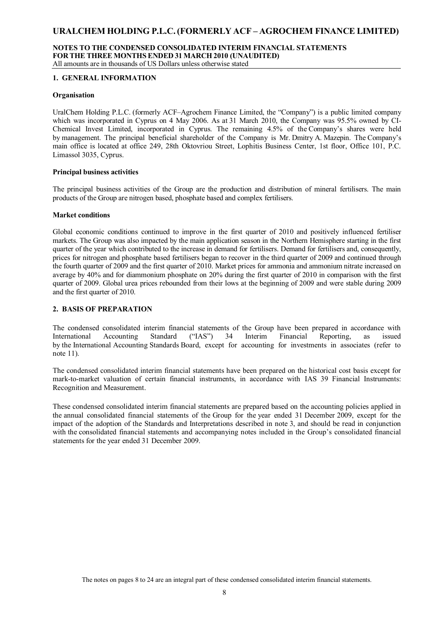#### **NOTES TO THE CONDENSED CONSOLIDATED INTERIM FINANCIAL STATEMENTS FOR THE THREE MONTHSENDED 31 MARCH 2010 (UNAUDITED)** All amounts are in thousands of US Dollars unless otherwise stated

### **1. GENERAL INFORMATION**

### **Organisation**

UralChem Holding P.L.C. (formerly ACF–Agrochem Finance Limited, the "Company") is a public limited company which was incorporated in Cyprus on 4 May 2006. As at 31 March 2010, the Company was 95.5% owned by CI-Chemical Invest Limited, incorporated in Cyprus. The remaining 4.5% of the Company's shares were held by management. The principal beneficial shareholder of the Company is Mr. Dmitry A. Mazepin. The Company's main office is located at office 249, 28th Oktovriou Street, Lophitis Business Center, 1st floor, Office 101, P.C. Limassol 3035, Cyprus.

#### **Principal business activities**

The principal business activities of the Group are the production and distribution of mineral fertilisers. The main products of the Group are nitrogen based, phosphate based and complex fertilisers.

### **Market conditions**

Global economic conditions continued to improve in the first quarter of 2010 and positively influenced fertiliser markets. The Group was also impacted by the main application season in the Northern Hemisphere starting in the first quarter of the year which contributed to the increase in demand for fertilisers. Demand for fertilisers and, consequently, prices for nitrogen and phosphate based fertilisers began to recover in the third quarter of 2009 and continued through the fourth quarter of 2009 and the first quarter of 2010. Market prices for ammonia and ammonium nitrate increased on average by 40% and for diammonium phosphate on 20% during the first quarter of 2010 in comparison with the first quarter of 2009. Global urea prices rebounded from their lows at the beginning of 2009 and were stable during 2009 and the first quarter of 2010.

### **2. BASIS OF PREPARATION**

The condensed consolidated interim financial statements of the Group have been prepared in accordance with International Accounting Standard ("IAS") 34 Interim Financial Reporting, as issued by the International Accounting Standards Board, except for accounting for investments in associates (refer to note 11).

The condensed consolidated interim financial statements have been prepared on the historical cost basis except for mark-to-market valuation of certain financial instruments, in accordance with IAS 39 Financial Instruments: Recognition and Measurement.

These condensed consolidated interim financial statements are prepared based on the accounting policies applied in the annual consolidated financial statements of the Group for the year ended 31 December 2009, except for the impact of the adoption of the Standards and Interpretations described in note 3, and should be read in conjunction with the consolidated financial statements and accompanying notes included in the Group's consolidated financial statements for the year ended 31 December 2009.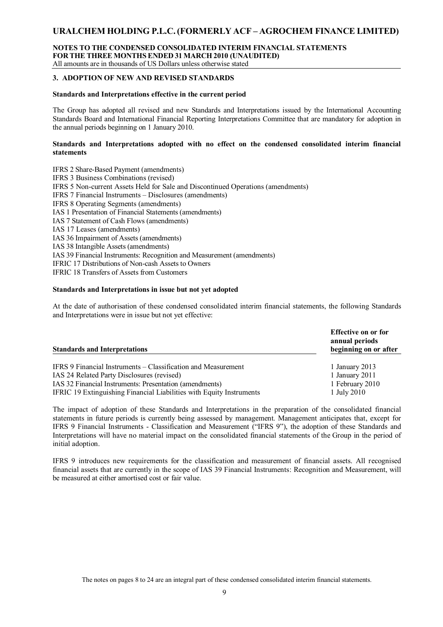#### **NOTES TO THE CONDENSED CONSOLIDATED INTERIM FINANCIAL STATEMENTS FOR THE THREE MONTHSENDED 31 MARCH 2010 (UNAUDITED)** All amounts are in thousands of US Dollars unless otherwise stated

### **3. ADOPTION OF NEW AND REVISED STANDARDS**

### **Standards and Interpretations effective in the current period**

The Group has adopted all revised and new Standards and Interpretations issued by the International Accounting Standards Board and International Financial Reporting Interpretations Committee that are mandatory for adoption in the annual periods beginning on 1 January 2010.

### **Standards and Interpretations adopted with no effect on the condensed consolidated interim financial statements**

IFRS 2 Share-Based Payment (amendments) IFRS 3 Business Combinations (revised) IFRS 5 Non-current Assets Held for Sale and Discontinued Operations (amendments) IFRS 7 Financial Instruments – Disclosures (amendments) IFRS 8 Operating Segments (amendments) IAS 1 Presentation of Financial Statements (amendments) IAS 7 Statement of Cash Flows (amendments) IAS 17 Leases (amendments) IAS 36 Impairment of Assets (amendments) IAS 38 Intangible Assets (amendments) IAS 39 Financial Instruments: Recognition and Measurement (amendments) IFRIC 17 Distributions of Non-cash Assets to Owners IFRIC 18 Transfers of Assets from Customers

### **Standards and Interpretations in issue but not yet adopted**

At the date of authorisation of these condensed consolidated interim financial statements, the following Standards and Interpretations were in issue but not yet effective:

| <b>Standards and Interpretations</b>                                 | <b>Effective on or for</b><br>annual periods<br>beginning on or after |
|----------------------------------------------------------------------|-----------------------------------------------------------------------|
| IFRS 9 Financial Instruments – Classification and Measurement        | 1 January 2013                                                        |
| IAS 24 Related Party Disclosures (revised)                           | 1 January 2011                                                        |
| IAS 32 Financial Instruments: Presentation (amendments)              | 1 February 2010                                                       |
| IFRIC 19 Extinguishing Financial Liabilities with Equity Instruments | 1 July 2010                                                           |

The impact of adoption of these Standards and Interpretations in the preparation of the consolidated financial statements in future periods is currently being assessed by management. Management anticipates that, except for IFRS 9 Financial Instruments - Classification and Measurement ("IFRS 9"), the adoption of these Standards and Interpretations will have no material impact on the consolidated financial statements of the Group in the period of initial adoption.

IFRS 9 introduces new requirements for the classification and measurement of financial assets. All recognised financial assets that are currently in the scope of IAS 39 Financial Instruments: Recognition and Measurement, will be measured at either amortised cost or fair value.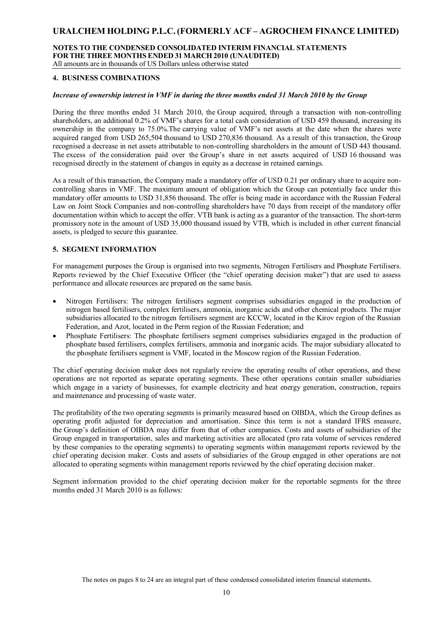#### **NOTES TO THE CONDENSED CONSOLIDATED INTERIM FINANCIAL STATEMENTS FOR THE THREE MONTHSENDED 31 MARCH 2010 (UNAUDITED)** All amounts are in thousands of US Dollars unless otherwise stated

### **4. BUSINESS COMBINATIONS**

### *Increase of ownership interest in VMF in during the three months ended 31 March 2010 by the Group*

During the three months ended 31 March 2010, the Group acquired, through a transaction with non-controlling shareholders, an additional 0.2% of VMF's shares for a total cash consideration of USD 459 thousand, increasing its ownership in the company to 75.0%.The carrying value of VMF's net assets at the date when the shares were acquired ranged from USD 265,504 thousand to USD 270,836 thousand. As a result of this transaction, the Group recognised a decrease in net assets attributable to non-controlling shareholders in the amount of USD 443 thousand. The excess of the consideration paid over the Group's share in net assets acquired of USD 16 thousand was recognised directly in the statement of changes in equity as a decrease in retained earnings.

As a result of this transaction, the Company made a mandatory offer of USD 0.21 per ordinary share to acquire noncontrolling shares in VMF. The maximum amount of obligation which the Group can potentially face under this mandatory offer amounts to USD 31,856 thousand. The offer is being made in accordance with the Russian Federal Law on Joint Stock Companies and non-controlling shareholders have 70 days from receipt of the mandatory offer documentation within which to accept the offer. VTB bank is acting as а guarantor of the transaction. The short-term promissory note in the amount of USD 35,000 thousand issued by VTB, which is included in other current financial assets, is pledged to secure this guarantee.

### **5. SEGMENT INFORMATION**

For management purposes the Group is organised into two segments, Nitrogen Fertilisers and Phosphate Fertilisers. Reports reviewed by the Chief Executive Officer (the "chief operating decision maker") that are used to assess performance and allocate resources are prepared on the same basis.

- Nitrogen Fertilisers: The nitrogen fertilisers segment comprises subsidiaries engaged in the production of nitrogen based fertilisers, complex fertilisers, ammonia, inorganic acids and other chemical products. The major subsidiaries allocated to the nitrogen fertilisers segment are KCCW, located in the Kirov region of the Russian Federation, and Azot, located in the Perm region of the Russian Federation; and
- Phosphate Fertilisers: The phosphate fertilisers segment comprises subsidiaries engaged in the production of phosphate based fertilisers, complex fertilisers, ammonia and inorganic acids. The major subsidiary allocated to the phosphate fertilisers segment is VMF, located in the Moscow region of the Russian Federation.

The chief operating decision maker does not regularly review the operating results of other operations, and these operations are not reported as separate operating segments. These other operations contain smaller subsidiaries which engage in a variety of businesses, for example electricity and heat energy generation, construction, repairs and maintenance and processing of waste water.

The profitability of the two operating segments is primarily measured based on OIBDA, which the Group defines as operating profit adjusted for depreciation and amortisation. Since this term is not a standard IFRS measure, the Group's definition of OIBDA may differ from that of other companies. Costs and assets of subsidiaries of the Group engaged in transportation, sales and marketing activities are allocated (pro rata volume of services rendered by these companies to the operating segments) to operating segments within management reports reviewed by the chief operating decision maker. Costs and assets of subsidiaries of the Group engaged in other operations are not allocated to operating segments within management reports reviewed by the chief operating decision maker.

Segment information provided to the chief operating decision maker for the reportable segments for the three months ended 31 March 2010 is as follows: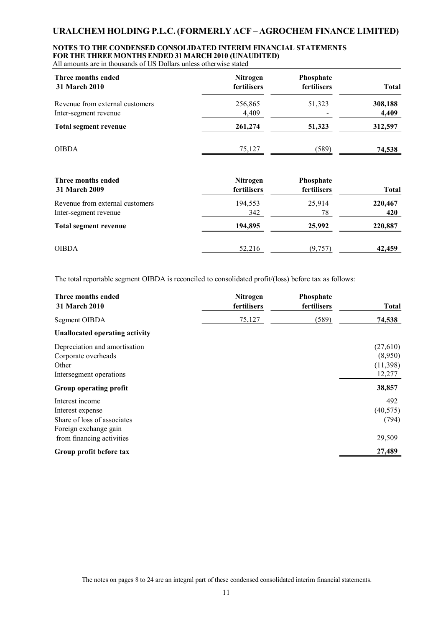# **NOTES TO THE CONDENSED CONSOLIDATED INTERIM FINANCIAL STATEMENTS FOR THE THREE MONTHSENDED 31 MARCH 2010 (UNAUDITED)**

All amounts are in thousands of US Dollars unless otherwise stated

| Three months ended              | <b>Nitrogen</b> | <b>Phosphate</b> | <b>Total</b> |
|---------------------------------|-----------------|------------------|--------------|
| <b>31 March 2010</b>            | fertilisers     | fertilisers      |              |
| Revenue from external customers | 256,865         | 51,323           | 308,188      |
| Inter-segment revenue           | 4,409           |                  | 4,409        |
| Total segment revenue           | 261,274         | 51,323           | 312,597      |
| <b>OIBDA</b>                    | 75,127          | (589)            | 74,538       |

| Three months ended<br>31 March 2009 | <b>Nitrogen</b><br>fertilisers | <b>Phosphate</b><br>fertilisers | <b>Total</b> |
|-------------------------------------|--------------------------------|---------------------------------|--------------|
| Revenue from external customers     | 194,553                        | 25,914                          | 220,467      |
| Inter-segment revenue               | 342                            | 78                              | 420          |
| Total segment revenue               | 194,895                        | 25,992                          | 220,887      |
| <b>OIBDA</b>                        | 52,216                         | (9,757)                         | 42,459       |

The total reportable segment OIBDA is reconciled to consolidated profit/(loss) before tax as follows:

| Three months ended<br><b>31 March 2010</b>                                                                               | Nitrogen<br>fertilisers | Phosphate<br>fertilisers | <b>Total</b>                              |
|--------------------------------------------------------------------------------------------------------------------------|-------------------------|--------------------------|-------------------------------------------|
| Segment OIBDA                                                                                                            | 75,127                  | (589)                    | 74,538                                    |
| <b>Unallocated operating activity</b>                                                                                    |                         |                          |                                           |
| Depreciation and amortisation<br>Corporate overheads<br>Other<br>Intersegment operations                                 |                         |                          | (27,610)<br>(8,950)<br>(11,398)<br>12,277 |
| Group operating profit                                                                                                   |                         |                          | 38,857                                    |
| Interest income<br>Interest expense<br>Share of loss of associates<br>Foreign exchange gain<br>from financing activities |                         |                          | 492<br>(40, 575)<br>(794)<br>29,509       |
| Group profit before tax                                                                                                  |                         |                          | 27,489                                    |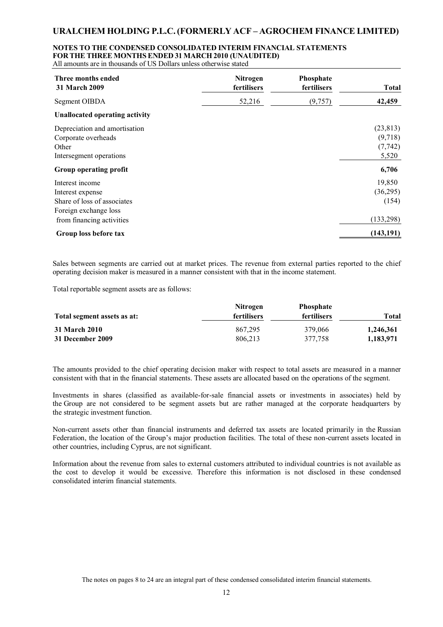## **NOTES TO THE CONDENSED CONSOLIDATED INTERIM FINANCIAL STATEMENTS FOR THE THREE MONTHSENDED 31 MARCH 2010 (UNAUDITED)**

All amounts are in thousands of US Dollars unless otherwise stated

| Three months ended<br><b>31 March 2009</b>                                               | <b>Nitrogen</b><br>fertilisers | Phosphate<br>fertilisers | <b>Total</b>                              |
|------------------------------------------------------------------------------------------|--------------------------------|--------------------------|-------------------------------------------|
| Segment OIBDA                                                                            | 52,216                         | (9, 757)                 | 42,459                                    |
| <b>Unallocated operating activity</b>                                                    |                                |                          |                                           |
| Depreciation and amortisation<br>Corporate overheads<br>Other<br>Intersegment operations |                                |                          | (23, 813)<br>(9,718)<br>(7, 742)<br>5,520 |
| Group operating profit                                                                   |                                |                          | 6,706                                     |
| Interest income<br>Interest expense<br>Share of loss of associates                       |                                |                          | 19,850<br>(36,295)<br>(154)               |
| Foreign exchange loss<br>from financing activities                                       |                                |                          | (133, 298)                                |
| Group loss before tax                                                                    |                                |                          | (143, 191)                                |

Sales between segments are carried out at market prices. The revenue from external parties reported to the chief operating decision maker is measured in a manner consistent with that in the income statement.

Total reportable segment assets are as follows:

|                             | <b>Nitrogen</b> | <b>Phosphate</b>   |           |
|-----------------------------|-----------------|--------------------|-----------|
| Total segment assets as at: | fertilisers     | <b>fertilisers</b> | Total     |
| <b>31 March 2010</b>        | 867.295         | 379,066            | 1,246,361 |
| 31 December 2009            | 806.213         | 377.758            | 1,183,971 |

The amounts provided to the chief operating decision maker with respect to total assets are measured in a manner consistent with that in the financial statements. These assets are allocated based on the operations of the segment.

Investments in shares (classified as available-for-sale financial assets or investments in associates) held by the Group are not considered to be segment assets but are rather managed at the corporate headquarters by the strategic investment function.

Non-current assets other than financial instruments and deferred tax assets are located primarily in the Russian Federation, the location of the Group's major production facilities. The total of these non-current assets located in other countries, including Cyprus, are not significant.

Information about the revenue from sales to external customers attributed to individual countries is not available as the cost to develop it would be excessive. Therefore this information is not disclosed in these condensed consolidated interim financial statements.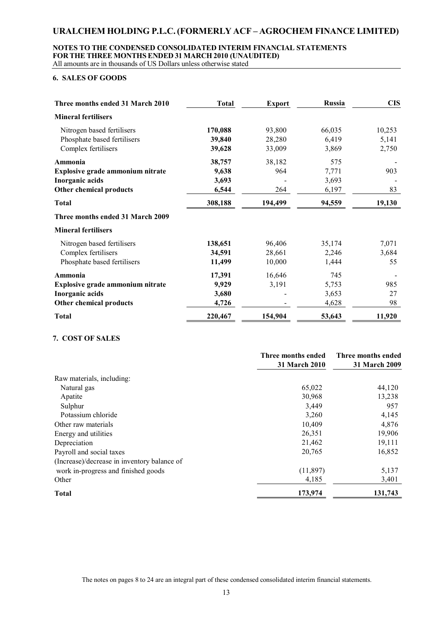### **NOTES TO THE CONDENSED CONSOLIDATED INTERIM FINANCIAL STATEMENTS FOR THE THREE MONTHSENDED 31 MARCH 2010 (UNAUDITED)** All amounts are in thousands of US Dollars unless otherwise stated

### **6. SALES OF GOODS**

| Three months ended 31 March 2010 | <b>Total</b> | <b>Export</b> | <b>Russia</b> | <b>CIS</b> |
|----------------------------------|--------------|---------------|---------------|------------|
| <b>Mineral fertilisers</b>       |              |               |               |            |
| Nitrogen based fertilisers       | 170,088      | 93,800        | 66,035        | 10,253     |
| Phosphate based fertilisers      | 39,840       | 28,280        | 6,419         | 5,141      |
| Complex fertilisers              | 39,628       | 33,009        | 3,869         | 2,750      |
| Ammonia                          | 38,757       | 38,182        | 575           |            |
| Explosive grade ammonium nitrate | 9,638        | 964           | 7,771         | 903        |
| Inorganic acids                  | 3,693        |               | 3,693         |            |
| Other chemical products          | 6,544        | 264           | 6,197         | 83         |
| <b>Total</b>                     | 308,188      | 194,499       | 94,559        | 19,130     |
| Three months ended 31 March 2009 |              |               |               |            |
| <b>Mineral fertilisers</b>       |              |               |               |            |
| Nitrogen based fertilisers       | 138,651      | 96,406        | 35,174        | 7,071      |
| Complex fertilisers              | 34,591       | 28,661        | 2,246         | 3,684      |
| Phosphate based fertilisers      | 11,499       | 10,000        | 1,444         | 55         |
| Ammonia                          | 17,391       | 16,646        | 745           |            |
| Explosive grade ammonium nitrate | 9,929        | 3,191         | 5,753         | 985        |
| Inorganic acids                  | 3,680        |               | 3,653         | 27         |
| Other chemical products          | 4,726        |               | 4,628         | 98         |
| <b>Total</b>                     | 220,467      | 154,904       | 53,643        | 11,920     |

### **7. COST OF SALES**

|                                             | Three months ended | Three months ended |
|---------------------------------------------|--------------------|--------------------|
|                                             | 31 March 2010      | 31 March 2009      |
| Raw materials, including:                   |                    |                    |
| Natural gas                                 | 65,022             | 44,120             |
| Apatite                                     | 30,968             | 13,238             |
| Sulphur                                     | 3,449              | 957                |
| Potassium chloride                          | 3,260              | 4,145              |
| Other raw materials                         | 10,409             | 4,876              |
| Energy and utilities                        | 26,351             | 19,906             |
| Depreciation                                | 21,462             | 19,111             |
| Payroll and social taxes                    | 20,765             | 16,852             |
| (Increase)/decrease in inventory balance of |                    |                    |
| work in-progress and finished goods         | (11,897)           | 5,137              |
| Other                                       | 4,185              | 3,401              |
| <b>Total</b>                                | 173,974            | 131,743            |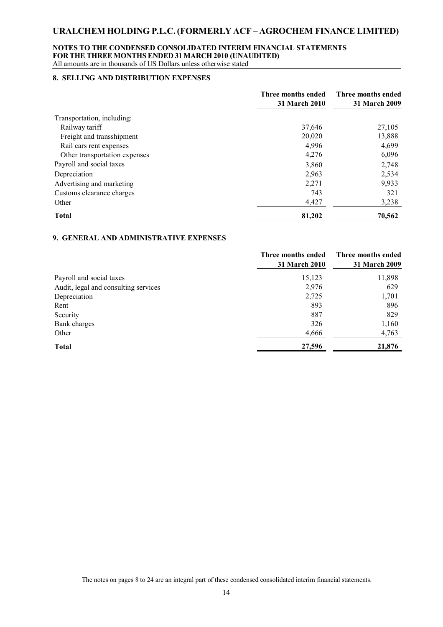### **NOTES TO THE CONDENSED CONSOLIDATED INTERIM FINANCIAL STATEMENTS FOR THE THREE MONTHSENDED 31 MARCH 2010 (UNAUDITED)** All amounts are in thousands of US Dollars unless otherwise stated

### **8. SELLING AND DISTRIBUTION EXPENSES**

|                               | Three months ended<br>31 March 2010 | Three months ended<br>31 March 2009 |
|-------------------------------|-------------------------------------|-------------------------------------|
| Transportation, including:    |                                     |                                     |
| Railway tariff                | 37,646                              | 27,105                              |
| Freight and transshipment     | 20,020                              | 13,888                              |
| Rail cars rent expenses       | 4,996                               | 4,699                               |
| Other transportation expenses | 4,276                               | 6,096                               |
| Payroll and social taxes      | 3,860                               | 2,748                               |
| Depreciation                  | 2,963                               | 2,534                               |
| Advertising and marketing     | 2,271                               | 9,933                               |
| Customs clearance charges     | 743                                 | 321                                 |
| Other                         | 4,427                               | 3,238                               |
| <b>Total</b>                  | 81,202                              | 70,562                              |

#### **9. GENERAL AND ADMINISTRATIVE EXPENSES**

|                                      | Three months ended<br><b>31 March 2010</b> | Three months ended<br><b>31 March 2009</b> |
|--------------------------------------|--------------------------------------------|--------------------------------------------|
| Payroll and social taxes             | 15,123                                     | 11,898                                     |
| Audit, legal and consulting services | 2,976                                      | 629                                        |
| Depreciation                         | 2,725                                      | 1,701                                      |
| Rent                                 | 893                                        | 896                                        |
| Security                             | 887                                        | 829                                        |
| Bank charges                         | 326                                        | 1,160                                      |
| Other                                | 4,666                                      | 4,763                                      |
| <b>Total</b>                         | 27,596                                     | 21,876                                     |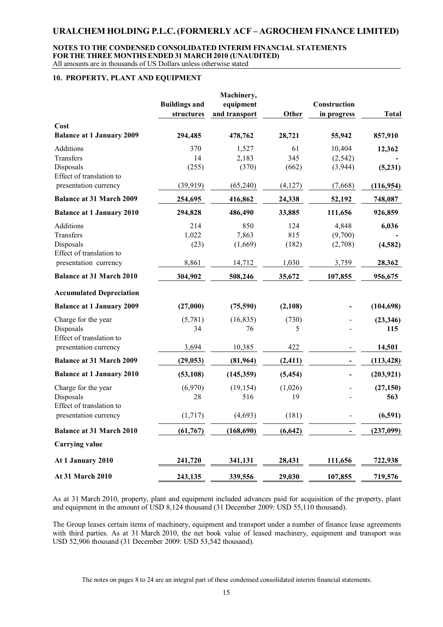#### **NOTES TO THE CONDENSED CONSOLIDATED INTERIM FINANCIAL STATEMENTS FOR THE THREE MONTHSENDED 31 MARCH 2010 (UNAUDITED)** All amounts are in thousands of US Dollars unless otherwise stated

### **10. PROPERTY, PLANT AND EQUIPMENT**

| Cost                                                                   | <b>Buildings and</b><br>structures | Machinery,<br>equipment<br>and transport | Other               | Construction<br>in progress   | <b>Total</b>      |
|------------------------------------------------------------------------|------------------------------------|------------------------------------------|---------------------|-------------------------------|-------------------|
| <b>Balance at 1 January 2009</b>                                       | 294,485                            | 478,762                                  | 28,721              | 55,942                        | 857,910           |
| Additions<br>Transfers<br>Disposals<br>Effect of translation to        | 370<br>14<br>(255)                 | 1,527<br>2,183<br>(370)                  | 61<br>345<br>(662)  | 10,404<br>(2, 542)<br>(3,944) | 12,362<br>(5,231) |
| presentation currency                                                  | (39, 919)                          | (65,240)                                 | (4,127)             | (7,668)                       | (116, 954)        |
| <b>Balance at 31 March 2009</b>                                        | 254,695                            | 416,862                                  | 24,338              | 52,192                        | 748,087           |
| <b>Balance at 1 January 2010</b>                                       | 294,828                            | 486,490                                  | 33,885              | 111,656                       | 926,859           |
| <b>Additions</b><br>Transfers<br>Disposals<br>Effect of translation to | 214<br>1,022<br>(23)               | 850<br>7,863<br>(1,669)                  | 124<br>815<br>(182) | 4,848<br>(9,700)<br>(2,708)   | 6,036<br>(4,582)  |
| presentation currency                                                  | 8,861                              | 14,712                                   | 1,030               | 3,759                         | 28,362            |
| <b>Balance at 31 March 2010</b>                                        | 304,902                            | 508,246                                  | 35,672              | 107,855                       | 956,675           |
| <b>Accumulated Depreciation</b>                                        |                                    |                                          |                     |                               |                   |
| <b>Balance at 1 January 2009</b>                                       | (27,000)                           | (75,590)                                 | (2,108)             |                               | (104, 698)        |
| Charge for the year<br>Disposals<br>Effect of translation to           | (5,781)<br>34                      | (16, 835)<br>76                          | (730)<br>5          |                               | (23, 346)<br>115  |
| presentation currency                                                  | 3,694                              | 10,385                                   | 422                 |                               | 14,501            |
| <b>Balance at 31 March 2009</b>                                        | (29, 053)                          | (81,964)                                 | (2, 411)            |                               | (113, 428)        |
| <b>Balance at 1 January 2010</b>                                       | (53, 108)                          | (145, 359)                               | (5, 454)            |                               | (203, 921)        |
| Charge for the year<br>Disposals<br>Effect of translation to           | (6,970)<br>28                      | (19, 154)<br>516                         | (1,026)<br>19       |                               | (27, 150)<br>563  |
| presentation currency                                                  | (1,717)                            | (4,693)                                  | (181)               |                               | (6,591)           |
| <b>Balance at 31 March 2010</b>                                        | (61, 767)                          | (168, 690)                               | (6, 642)            |                               | (237,099)         |
| <b>Carrying value</b>                                                  |                                    |                                          |                     |                               |                   |
| At 1 January 2010                                                      | 241,720                            | 341,131                                  | 28,431              | 111,656                       | 722,938           |
| <b>At 31 March 2010</b>                                                | 243,135                            | 339,556                                  | 29,030              | 107,855                       | 719,576           |

As at 31 March 2010, property, plant and equipment included advances paid for acquisition of the property, plant and equipment in the amount of USD 8,124 thousand (31 December 2009: USD 55,110 thousand).

The Group leases certain items of machinery, equipment and transport under a number of finance lease agreements with third parties. As at 31 March 2010, the net book value of leased machinery, equipment and transport was USD 52,906 thousand (31 December 2009: USD 53,542 thousand).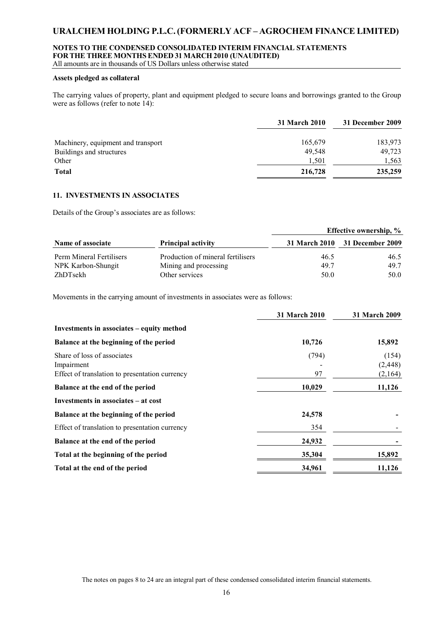### **NOTES TO THE CONDENSED CONSOLIDATED INTERIM FINANCIAL STATEMENTS FOR THE THREE MONTHSENDED 31 MARCH 2010 (UNAUDITED)**

All amounts are in thousands of US Dollars unless otherwise stated

### **Assets pledged as collateral**

The carrying values of property, plant and equipment pledged to secure loans and borrowings granted to the Group were as follows (refer to note 14):

|                                    | 31 March 2010 | 31 December 2009 |
|------------------------------------|---------------|------------------|
| Machinery, equipment and transport | 165,679       | 183,973          |
| Buildings and structures           | 49.548        | 49,723           |
| Other                              | 1.501         | 1,563            |
| <b>Total</b>                       | 216,728       | 235,259          |

### **11. INVESTMENTS IN ASSOCIATES**

Details of the Group's associates are as follows:

|                          |                                   | <b>Effective ownership, %</b> |                                |  |
|--------------------------|-----------------------------------|-------------------------------|--------------------------------|--|
| Name of associate        | <b>Principal activity</b>         |                               | 31 March 2010 31 December 2009 |  |
| Perm Mineral Fertilisers | Production of mineral fertilisers | 46.5                          | 46.5                           |  |
| NPK Karbon-Shungit       | Mining and processing             | 49.7                          | 49.7                           |  |
| ZhDTsekh                 | Other services                    | 50.0                          | 50.0                           |  |

Movements in the carrying amount of investments in associates were as follows:

|                                                                                             | 31 March 2010 | 31 March 2009                |
|---------------------------------------------------------------------------------------------|---------------|------------------------------|
| Investments in associates – equity method                                                   |               |                              |
| Balance at the beginning of the period                                                      | 10,726        | 15,892                       |
| Share of loss of associates<br>Impairment<br>Effect of translation to presentation currency | (794)<br>97   | (154)<br>(2, 448)<br>(2,164) |
| Balance at the end of the period                                                            | 10,029        | 11,126                       |
| Investments in associates – at cost                                                         |               |                              |
| Balance at the beginning of the period                                                      | 24,578        |                              |
| Effect of translation to presentation currency                                              | 354           |                              |
| Balance at the end of the period                                                            | 24,932        |                              |
| Total at the beginning of the period                                                        | 35,304        | 15,892                       |
| Total at the end of the period                                                              | 34,961        | 11,126                       |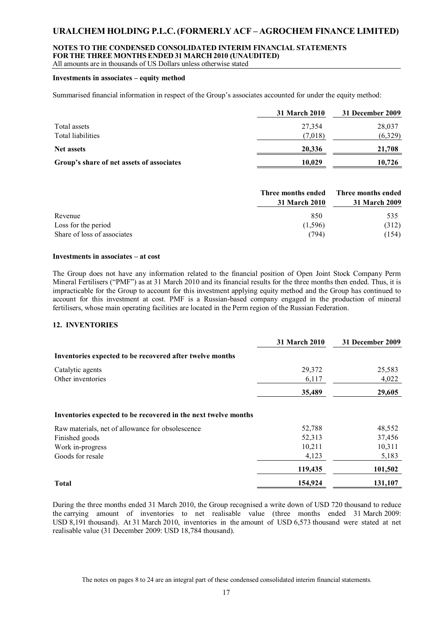### **NOTES TO THE CONDENSED CONSOLIDATED INTERIM FINANCIAL STATEMENTS FOR THE THREE MONTHSENDED 31 MARCH 2010 (UNAUDITED)**

All amounts are in thousands of US Dollars unless otherwise stated

### **Investments in associates – equity method**

Summarised financial information in respect of the Group's associates accounted for under the equity method:

|                                           | 31 March 2010 | 31 December 2009 |
|-------------------------------------------|---------------|------------------|
| Total assets                              | 27,354        | 28,037           |
| Total liabilities                         | (7.018)       | (6,329)          |
| <b>Net assets</b>                         | 20,336        | 21,708           |
| Group's share of net assets of associates | 10.029        | 10.726           |

|                             | Three months ended<br>31 March 2010 | Three months ended<br>31 March 2009 |
|-----------------------------|-------------------------------------|-------------------------------------|
| Revenue                     | 850                                 | 535                                 |
| Loss for the period         | (1,596)                             | (312)                               |
| Share of loss of associates | (794)                               | (154)                               |

### **Investments in associates – at cost**

The Group does not have any information related to the financial position of Open Joint Stock Company Perm Mineral Fertilisers ("PMF") as at 31 March 2010 and its financial results for the three months then ended. Thus, it is impracticable for the Group to account for this investment applying equity method and the Group has continued to account for this investment at cost. PMF is a Russian-based company engaged in the production of mineral fertilisers, whose main operating facilities are located in the Perm region of the Russian Federation.

### **12. INVENTORIES**

|                                                                | <b>31 March 2010</b> | 31 December 2009 |
|----------------------------------------------------------------|----------------------|------------------|
| Inventories expected to be recovered after twelve months       |                      |                  |
| Catalytic agents                                               | 29,372               | 25,583           |
| Other inventories                                              | 6,117                | 4,022            |
|                                                                | 35,489               | 29,605           |
| Inventories expected to be recovered in the next twelve months |                      |                  |
| Raw materials, net of allowance for obsolescence               | 52,788               | 48,552           |
| Finished goods                                                 | 52,313               | 37,456           |
| Work in-progress                                               | 10,211               | 10,311           |
| Goods for resale                                               | 4,123                | 5,183            |
|                                                                | 119,435              | 101,502          |
| <b>Total</b>                                                   | 154,924              | 131,107          |

During the three months ended 31 March 2010, the Group recognised a write down of USD 720 thousand to reduce the carrying amount of inventories to net realisable value (three months ended 31 March 2009: USD 8,191 thousand). At 31 March 2010, inventories in the amount of USD 6,573 thousand were stated at net realisable value (31 December 2009: USD 18,784 thousand).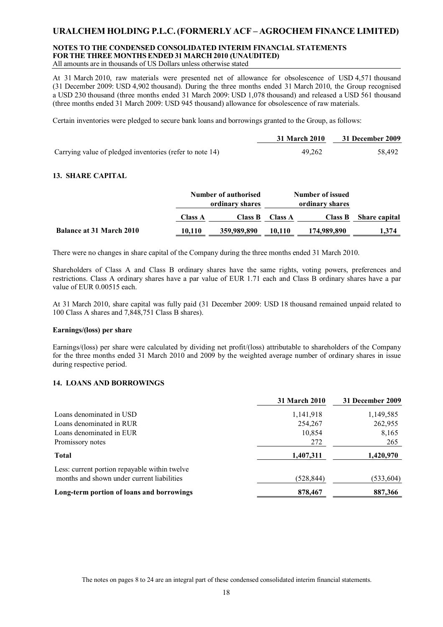#### **NOTES TO THE CONDENSED CONSOLIDATED INTERIM FINANCIAL STATEMENTS FOR THE THREE MONTHSENDED 31 MARCH 2010 (UNAUDITED)** All amounts are in thousands of US Dollars unless otherwise stated

At 31 March 2010, raw materials were presented net of allowance for obsolescence of USD 4,571 thousand (31 December 2009: USD 4,902 thousand). During the three months ended 31 March 2010, the Group recognised a USD 230 thousand (three months ended 31 March 2009: USD 1,078 thousand) and released a USD 561 thousand (three months ended 31 March 2009: USD 945 thousand) allowance for obsolescence of raw materials.

Certain inventories were pledged to secure bank loans and borrowings granted to the Group, as follows:

|                                                          | 31 March 2010 | 31 December 2009 |
|----------------------------------------------------------|---------------|------------------|
| Carrying value of pledged inventories (refer to note 14) | 49.262        | 58,492           |

### **13. SHARE CAPITAL**

|                                 |                | Number of authorised<br>ordinary shares |                | Number of issued<br>ordinary shares |                      |
|---------------------------------|----------------|-----------------------------------------|----------------|-------------------------------------|----------------------|
|                                 | <b>Class A</b> | <b>Class B</b>                          | <b>Class A</b> | <b>Class B</b>                      | <b>Share capital</b> |
| <b>Balance at 31 March 2010</b> | 10,110         | 359,989,890                             | 10.110         | 174,989,890                         | 1,374                |

There were no changes in share capital of the Company during the three months ended 31 March 2010.

Shareholders of Class A and Class B ordinary shares have the same rights, voting powers, preferences and restrictions. Class A ordinary shares have a par value of EUR 1.71 each and Class B ordinary shares have a par value of EUR 0.00515 each.

At 31 March 2010, share capital was fully paid (31 December 2009: USD 18 thousand remained unpaid related to 100 Class A shares and 7,848,751 Class B shares).

### **Earnings/(loss) per share**

Earnings/(loss) per share were calculated by dividing net profit/(loss) attributable to shareholders of the Company for the three months ended 31 March 2010 and 2009 by the weighted average number of ordinary shares in issue during respective period.

### **14. LOANS AND BORROWINGS**

|                                                                                             | <b>31 March 2010</b> | 31 December 2009 |
|---------------------------------------------------------------------------------------------|----------------------|------------------|
| Loans denominated in USD                                                                    | 1,141,918            | 1,149,585        |
| Loans denominated in RUR                                                                    | 254,267              | 262,955          |
| Loans denominated in EUR                                                                    | 10,854               | 8,165            |
| Promissory notes                                                                            | 272                  | 265              |
| <b>Total</b>                                                                                | 1,407,311            | 1,420,970        |
| Less: current portion repayable within twelve<br>months and shown under current liabilities | (528,844)            | (533, 604)       |
| Long-term portion of loans and borrowings                                                   | 878,467              | 887,366          |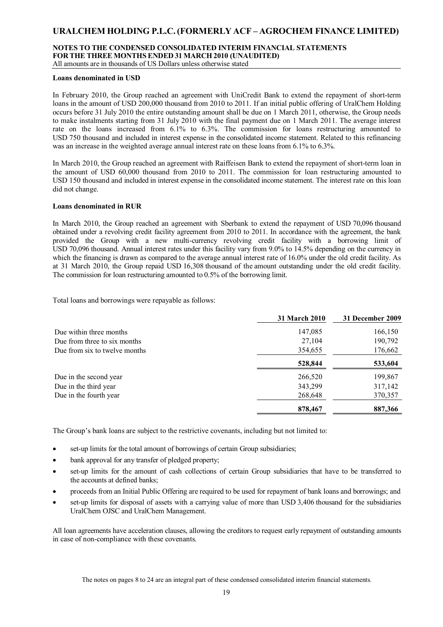## **NOTES TO THE CONDENSED CONSOLIDATED INTERIM FINANCIAL STATEMENTS FOR THE THREE MONTHSENDED 31 MARCH 2010 (UNAUDITED)**

All amounts are in thousands of US Dollars unless otherwise stated

### **Loans denominated in USD**

In February 2010, the Group reached an agreement with UniCredit Bank to extend the repayment of short-term loans in the amount of USD 200,000 thousand from 2010 to 2011. If an initial public offering of UralChem Holding occurs before 31 July 2010 the entire outstanding amount shall be due on 1 March 2011, otherwise, the Group needs to make instalments starting from 31 July 2010 with the final payment due on 1 March 2011. The average interest rate on the loans increased from 6.1% to 6.3%. The commission for loans restructuring amounted to USD 750 thousand and included in interest expense in the consolidated income statement. Related to this refinancing was an increase in the weighted average annual interest rate on these loans from 6.1% to 6.3%.

In March 2010, the Group reached an agreement with Raiffeisen Bank to extend the repayment of short-term loan in the amount of USD 60,000 thousand from 2010 to 2011. The commission for loan restructuring amounted to USD 150 thousand and included in interest expense in the consolidated income statement. The interest rate on this loan did not change.

### **Loans denominated in RUR**

In March 2010, the Group reached an agreement with Sberbank to extend the repayment of USD 70,096 thousand obtained under a revolving credit facility agreement from 2010 to 2011. In accordance with the agreement, the bank provided the Group with a new multi-currency revolving credit facility with a borrowing limit of USD 70,096 thousand. Annual interest rates under this facility vary from 9.0% to 14.5% depending on the currency in which the financing is drawn as compared to the average annual interest rate of 16.0% under the old credit facility. As at 31 March 2010, the Group repaid USD 16,308 thousand of the amount outstanding under the old credit facility. The commission for loan restructuring amounted to 0.5% of the borrowing limit.

Total loans and borrowings were repayable as follows:

|                               | <b>31 March 2010</b> | 31 December 2009 |
|-------------------------------|----------------------|------------------|
| Due within three months       | 147,085              | 166,150          |
| Due from three to six months  | 27,104               | 190,792          |
| Due from six to twelve months | 354,655              | 176,662          |
|                               | 528,844              | 533,604          |
| Due in the second year        | 266,520              | 199,867          |
| Due in the third year         | 343,299              | 317,142          |
| Due in the fourth year        | 268,648              | 370,357          |
|                               | 878,467              | 887,366          |

The Group's bank loans are subject to the restrictive covenants, including but not limited to:

- set-up limits for the total amount of borrowings of certain Group subsidiaries;
- bank approval for any transfer of pledged property;
- set-up limits for the amount of cash collections of certain Group subsidiaries that have to be transferred to the accounts at defined banks;
- proceeds from an Initial Public Offering are required to be used for repayment of bank loans and borrowings; and
- set-up limits for disposal of assets with a carrying value of more than USD 3,406 thousand for the subsidiaries UralChem OJSC and UralChem Management.

All loan agreements have acceleration clauses, allowing the creditors to request early repayment of outstanding amounts in case of non-compliance with these covenants.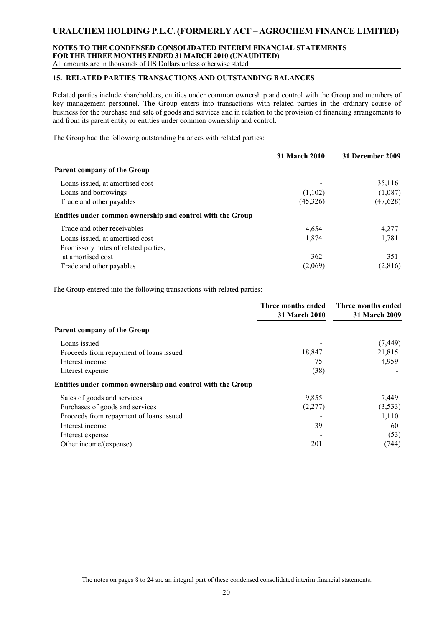### **NOTES TO THE CONDENSED CONSOLIDATED INTERIM FINANCIAL STATEMENTS FOR THE THREE MONTHSENDED 31 MARCH 2010 (UNAUDITED)** All amounts are in thousands of US Dollars unless otherwise stated

### **15. RELATED PARTIES TRANSACTIONS AND OUTSTANDING BALANCES**

Related parties include shareholders, entities under common ownership and control with the Group and members of key management personnel. The Group enters into transactions with related parties in the ordinary course of business for the purchase and sale of goods and services and in relation to the provision of financing arrangements to and from its parent entity or entities under common ownership and control.

The Group had the following outstanding balances with related parties:

|                                                            | 31 March 2010 | 31 December 2009 |
|------------------------------------------------------------|---------------|------------------|
| Parent company of the Group                                |               |                  |
| Loans issued, at amortised cost                            |               | 35,116           |
| Loans and borrowings                                       | (1,102)       | (1,087)          |
| Trade and other payables                                   | (45,326)      | (47, 628)        |
| Entities under common ownership and control with the Group |               |                  |
| Trade and other receivables                                | 4,654         | 4,277            |
| Loans issued, at amortised cost                            | 1,874         | 1,781            |
| Promissory notes of related parties,                       |               |                  |
| at amortised cost                                          | 362           | 351              |
| Trade and other payables                                   | (2,069)       | (2,816)          |

The Group entered into the following transactions with related parties:

|                                                            | Three months ended<br>31 March 2010 | Three months ended<br>31 March 2009 |
|------------------------------------------------------------|-------------------------------------|-------------------------------------|
| Parent company of the Group                                |                                     |                                     |
| Loans issued                                               |                                     | (7, 449)                            |
| Proceeds from repayment of loans issued                    | 18,847                              | 21,815                              |
| Interest income                                            | 75                                  | 4,959                               |
| Interest expense                                           | (38)                                |                                     |
| Entities under common ownership and control with the Group |                                     |                                     |
| Sales of goods and services                                | 9,855                               | 7,449                               |
| Purchases of goods and services                            | (2,277)                             | (3,533)                             |
| Proceeds from repayment of loans issued                    |                                     | 1,110                               |
| Interest income                                            | 39                                  | 60                                  |
| Interest expense                                           |                                     | (53)                                |
| Other income/(expense)                                     | 201                                 | (744)                               |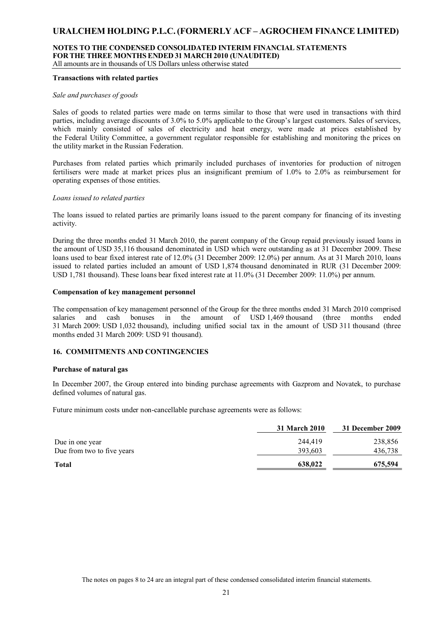# **NOTES TO THE CONDENSED CONSOLIDATED INTERIM FINANCIAL STATEMENTS FOR THE THREE MONTHSENDED 31 MARCH 2010 (UNAUDITED)**

All amounts are in thousands of US Dollars unless otherwise stated

### **Transactions with related parties**

#### *Sale and purchases of goods*

Sales of goods to related parties were made on terms similar to those that were used in transactions with third parties, including average discounts of 3.0% to 5.0% applicable to the Group's largest customers. Sales of services, which mainly consisted of sales of electricity and heat energy, were made at prices established by the Federal Utility Committee, a government regulator responsible for establishing and monitoring the prices on the utility market in the Russian Federation.

Purchases from related parties which primarily included purchases of inventories for production of nitrogen fertilisers were made at market prices plus an insignificant premium of 1.0% to 2.0% as reimbursement for operating expenses of those entities.

### *Loans issued to related parties*

The loans issued to related parties are primarily loans issued to the parent company for financing of its investing activity.

During the three months ended 31 March 2010, the parent company of the Group repaid previously issued loans in the amount of USD 35,116 thousand denominated in USD which were outstanding as at 31 December 2009. These loans used to bear fixed interest rate of 12.0% (31 December 2009: 12.0%) per annum. As at 31 March 2010, loans issued to related parties included an amount of USD 1,874 thousand denominated in RUR (31 December 2009: USD 1,781 thousand). These loans bear fixed interest rate at 11.0% (31 December 2009: 11.0%) per annum.

#### **Compensation of key management personnel**

The compensation of key management personnel of the Group for the three months ended 31 March 2010 comprised salaries and cash bonuses in the amount of USD 1,469 thousand (three months ended 31 March 2009: USD 1,032 thousand), including unified social tax in the amount of USD 311 thousand (three months ended 31 March 2009: USD 91 thousand).

### **16. COMMITMENTS AND CONTINGENCIES**

### **Purchase of natural gas**

In December 2007, the Group entered into binding purchase agreements with Gazprom and Novatek, to purchase defined volumes of natural gas.

Future minimum costs under non-cancellable purchase agreements were as follows:

|                            | <b>31 March 2010</b> | 31 December 2009 |
|----------------------------|----------------------|------------------|
| Due in one year            | 244,419              | 238,856          |
| Due from two to five years | 393,603              | 436,738          |
| <b>Total</b>               | 638,022              | 675,594          |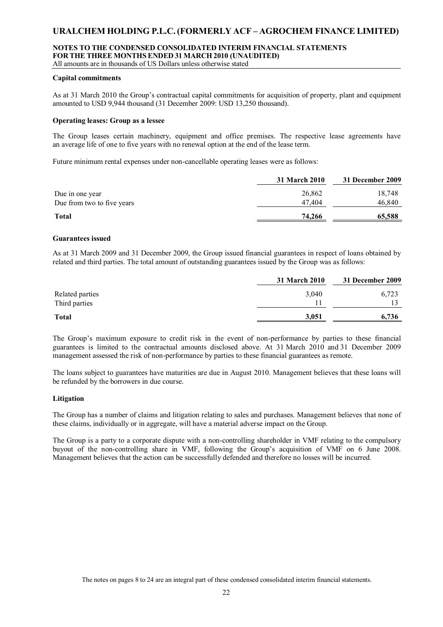# **NOTES TO THE CONDENSED CONSOLIDATED INTERIM FINANCIAL STATEMENTS FOR THE THREE MONTHSENDED 31 MARCH 2010 (UNAUDITED)**

All amounts are in thousands of US Dollars unless otherwise stated

### **Capital commitments**

As at 31 March 2010 the Group's contractual capital commitments for acquisition of property, plant and equipment amounted to USD 9,944 thousand (31 December 2009: USD 13,250 thousand).

#### **Operating leases: Group as a lessee**

The Group leases certain machinery, equipment and office premises. The respective lease agreements have an average life of one to five years with no renewal option at the end of the lease term.

Future minimum rental expenses under non-cancellable operating leases were as follows:

|                            | <b>31 March 2010</b> | 31 December 2009 |
|----------------------------|----------------------|------------------|
| Due in one year            | 26,862               | 18.748           |
| Due from two to five years | 47.404               | 46.840           |
| <b>Total</b>               | 74,266               | 65,588           |

#### **Guarantees issued**

As at 31 March 2009 and 31 December 2009, the Group issued financial guarantees in respect of loans obtained by related and third parties. The total amount of outstanding guarantees issued by the Group was as follows:

|                 | <b>31 March 2010</b> | 31 December 2009 |
|-----------------|----------------------|------------------|
| Related parties | 3,040                | 6,723            |
| Third parties   |                      |                  |
| <b>Total</b>    | 3,051                | 6,736            |

The Group's maximum exposure to credit risk in the event of non-performance by parties to these financial guarantees is limited to the contractual amounts disclosed above. At 31 March 2010 and 31 December 2009 management assessed the risk of non-performance by parties to these financial guarantees as remote.

The loans subject to guarantees have maturities are due in August 2010. Management believes that these loans will be refunded by the borrowers in due course.

#### **Litigation**

The Group has a number of claims and litigation relating to sales and purchases. Management believes that none of these claims, individually or in aggregate, will have a material adverse impact on the Group.

The Group is a party to a corporate dispute with a non-controlling shareholder in VMF relating to the compulsory buyout of the non-controlling share in VMF, following the Group's acquisition of VMF on 6 June 2008. Management believes that the action can be successfully defended and therefore no losses will be incurred.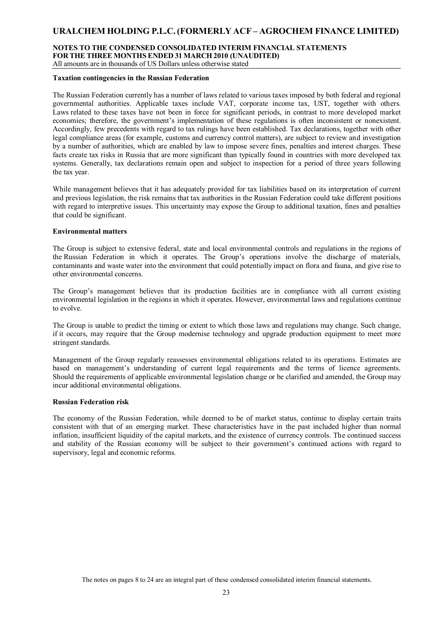# **NOTES TO THE CONDENSED CONSOLIDATED INTERIM FINANCIAL STATEMENTS FOR THE THREE MONTHSENDED 31 MARCH 2010 (UNAUDITED)**

All amounts are in thousands of US Dollars unless otherwise stated

### **Taxation contingencies in the Russian Federation**

The Russian Federation currently has a number of laws related to various taxes imposed by both federal and regional governmental authorities. Applicable taxes include VAT, corporate income tax, UST, together with others. Laws related to these taxes have not been in force for significant periods, in contrast to more developed market economies; therefore, the government's implementation of these regulations is often inconsistent or nonexistent. Accordingly, few precedents with regard to tax rulings have been established. Tax declarations, together with other legal compliance areas (for example, customs and currency control matters), are subject to review and investigation by a number of authorities, which are enabled by law to impose severe fines, penalties and interest charges. These facts create tax risks in Russia that are more significant than typically found in countries with more developed tax systems. Generally, tax declarations remain open and subject to inspection for a period of three years following the tax year.

While management believes that it has adequately provided for tax liabilities based on its interpretation of current and previous legislation, the risk remains that tax authorities in the Russian Federation could take different positions with regard to interpretive issues. This uncertainty may expose the Group to additional taxation, fines and penalties that could be significant.

### **Environmental matters**

The Group is subject to extensive federal, state and local environmental controls and regulations in the regions of the Russian Federation in which it operates. The Group's operations involve the discharge of materials, contaminants and waste water into the environment that could potentially impact on flora and fauna, and give rise to other environmental concerns.

The Group's management believes that its production facilities are in compliance with all current existing environmental legislation in the regions in which it operates. However, environmental laws and regulations continue to evolve.

The Group is unable to predict the timing or extent to which those laws and regulations may change. Such change, if it occurs, may require that the Group modernise technology and upgrade production equipment to meet more stringent standards.

Management of the Group regularly reassesses environmental obligations related to its operations. Estimates are based on management's understanding of current legal requirements and the terms of licence agreements. Should the requirements of applicable environmental legislation change or be clarified and amended, the Group may incur additional environmental obligations.

#### **Russian Federation risk**

The economy of the Russian Federation, while deemed to be of market status, continue to display certain traits consistent with that of an emerging market. These characteristics have in the past included higher than normal inflation, insufficient liquidity of the capital markets, and the existence of currency controls. The continued success and stability of the Russian economy will be subject to their government's continued actions with regard to supervisory, legal and economic reforms.